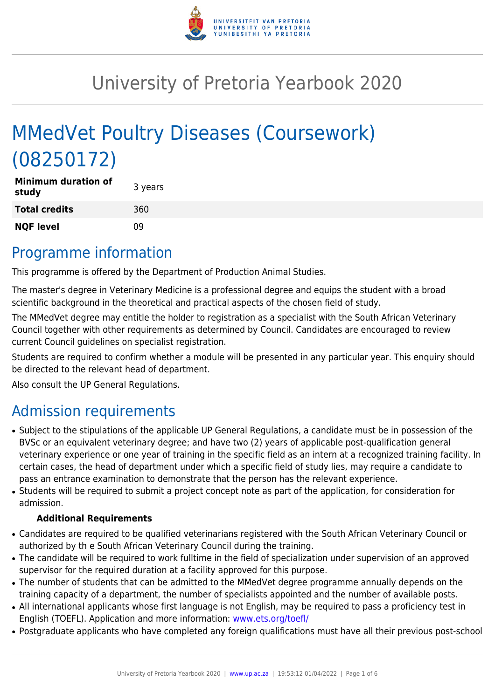

# University of Pretoria Yearbook 2020

# MMedVet Poultry Diseases (Coursework) (08250172)

| <b>Minimum duration of</b><br>study | 3 years |
|-------------------------------------|---------|
| <b>Total credits</b>                | 360     |
| <b>NQF level</b>                    | 09      |

### Programme information

This programme is offered by the Department of Production Animal Studies.

The master's degree in Veterinary Medicine is a professional degree and equips the student with a broad scientific background in the theoretical and practical aspects of the chosen field of study.

The MMedVet degree may entitle the holder to registration as a specialist with the South African Veterinary Council together with other requirements as determined by Council. Candidates are encouraged to review current Council guidelines on specialist registration.

Students are required to confirm whether a module will be presented in any particular year. This enquiry should be directed to the relevant head of department.

Also consult the UP General Regulations.

## Admission requirements

- Subject to the stipulations of the applicable UP General Regulations, a candidate must be in possession of the BVSc or an equivalent veterinary degree; and have two (2) years of applicable post-qualification general veterinary experience or one year of training in the specific field as an intern at a recognized training facility. In certain cases, the head of department under which a specific field of study lies, may require a candidate to pass an entrance examination to demonstrate that the person has the relevant experience.
- Students will be required to submit a project concept note as part of the application, for consideration for admission.

#### **Additional Requirements**

- Candidates are required to be qualified veterinarians registered with the South African Veterinary Council or authorized by th e South African Veterinary Council during the training.
- The candidate will be required to work fulltime in the field of specialization under supervision of an approved supervisor for the required duration at a facility approved for this purpose.
- The number of students that can be admitted to the MMedVet degree programme annually depends on the training capacity of a department, the number of specialists appointed and the number of available posts.
- All international applicants whose first language is not English, may be required to pass a proficiency test in English (TOEFL). Application and more information: [www.ets.org/toefl/](http://www.ets.org/toefl/)
- Postgraduate applicants who have completed any foreign qualifications must have all their previous post-school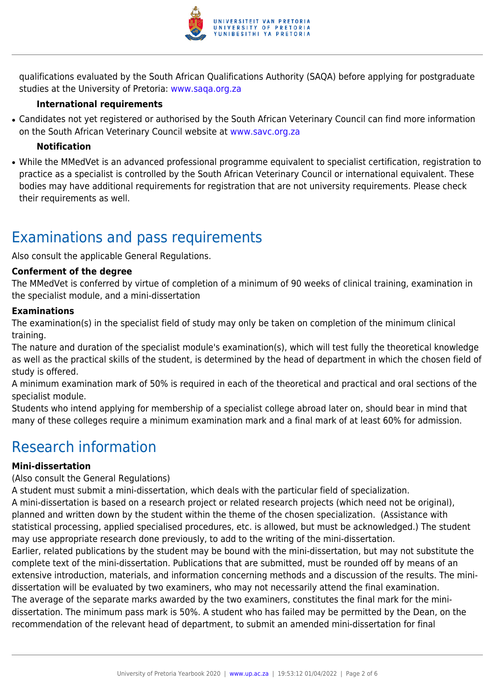

qualifications evaluated by the South African Qualifications Authority (SAQA) before applying for postgraduate studies at the University of Pretoria: [www.saqa.org.za](http://www.saqa.org.za)

#### **International requirements**

• Candidates not yet registered or authorised by the South African Veterinary Council can find more information on the South African Veterinary Council website at [www.savc.org.za](http://www.savc.org.za)

#### **Notification**

• While the MMedVet is an advanced professional programme equivalent to specialist certification, registration to practice as a specialist is controlled by the South African Veterinary Council or international equivalent. These bodies may have additional requirements for registration that are not university requirements. Please check their requirements as well.

## Examinations and pass requirements

Also consult the applicable General Regulations.

#### **Conferment of the degree**

The MMedVet is conferred by virtue of completion of a minimum of 90 weeks of clinical training, examination in the specialist module, and a mini-dissertation

#### **Examinations**

The examination(s) in the specialist field of study may only be taken on completion of the minimum clinical training.

The nature and duration of the specialist module's examination(s), which will test fully the theoretical knowledge as well as the practical skills of the student, is determined by the head of department in which the chosen field of study is offered.

A minimum examination mark of 50% is required in each of the theoretical and practical and oral sections of the specialist module.

Students who intend applying for membership of a specialist college abroad later on, should bear in mind that many of these colleges require a minimum examination mark and a final mark of at least 60% for admission.

### Research information

#### **Mini-dissertation**

(Also consult the General Regulations)

A student must submit a mini-dissertation, which deals with the particular field of specialization.

A mini-dissertation is based on a research project or related research projects (which need not be original), planned and written down by the student within the theme of the chosen specialization. (Assistance with statistical processing, applied specialised procedures, etc. is allowed, but must be acknowledged.) The student may use appropriate research done previously, to add to the writing of the mini-dissertation.

Earlier, related publications by the student may be bound with the mini-dissertation, but may not substitute the complete text of the mini-dissertation. Publications that are submitted, must be rounded off by means of an extensive introduction, materials, and information concerning methods and a discussion of the results. The minidissertation will be evaluated by two examiners, who may not necessarily attend the final examination. The average of the separate marks awarded by the two examiners, constitutes the final mark for the minidissertation. The minimum pass mark is 50%. A student who has failed may be permitted by the Dean, on the recommendation of the relevant head of department, to submit an amended mini-dissertation for final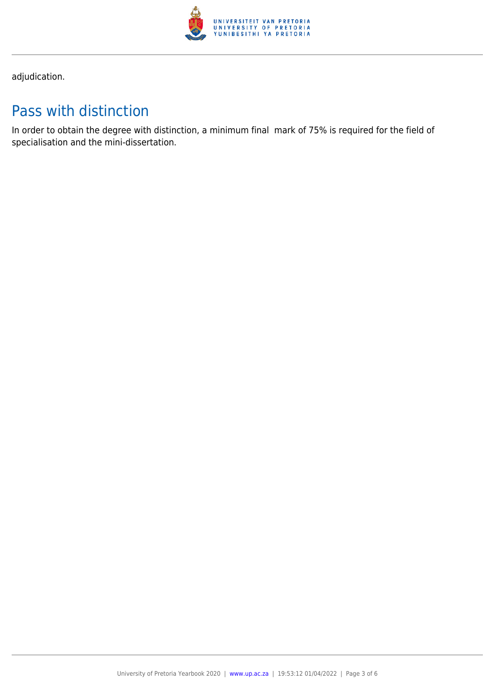

adjudication.

# Pass with distinction

In order to obtain the degree with distinction, a minimum final mark of 75% is required for the field of specialisation and the mini-dissertation.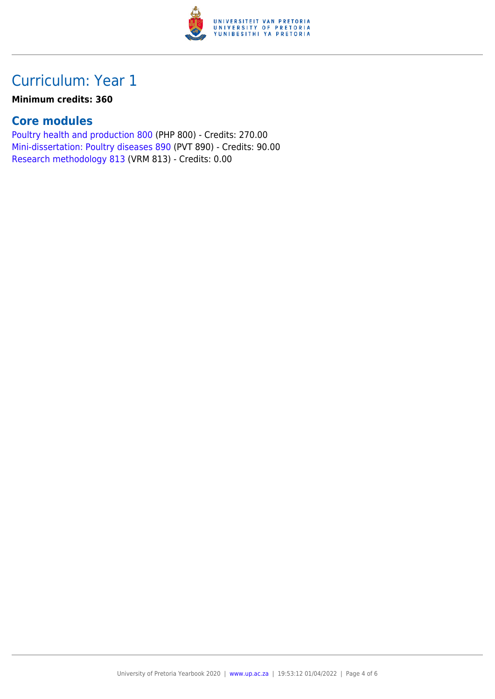

## Curriculum: Year 1

#### **Minimum credits: 360**

### **Core modules**

[Poultry health and production 800](https://www.up.ac.za/yearbooks/2020/modules/view/PHP 800) (PHP 800) - Credits: 270.00 [Mini-dissertation: Poultry diseases 890](https://www.up.ac.za/yearbooks/2020/modules/view/PVT 890) (PVT 890) - Credits: 90.00 [Research methodology 813](https://www.up.ac.za/yearbooks/2020/modules/view/VRM 813) (VRM 813) - Credits: 0.00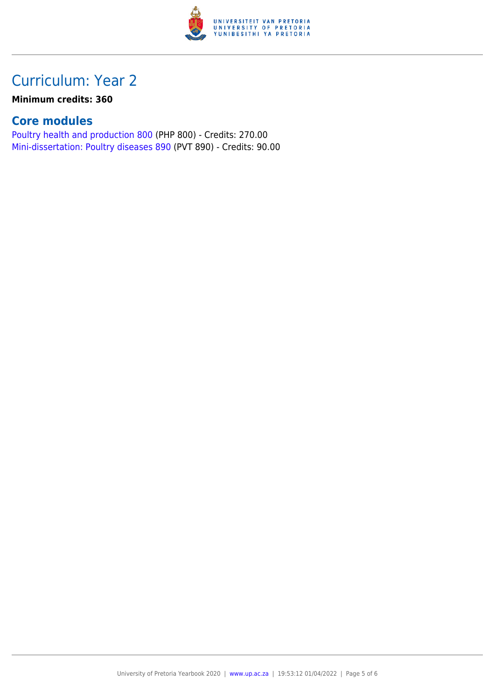

## Curriculum: Year 2

#### **Minimum credits: 360**

### **Core modules**

[Poultry health and production 800](https://www.up.ac.za/yearbooks/2020/modules/view/PHP 800) (PHP 800) - Credits: 270.00 [Mini-dissertation: Poultry diseases 890](https://www.up.ac.za/yearbooks/2020/modules/view/PVT 890) (PVT 890) - Credits: 90.00